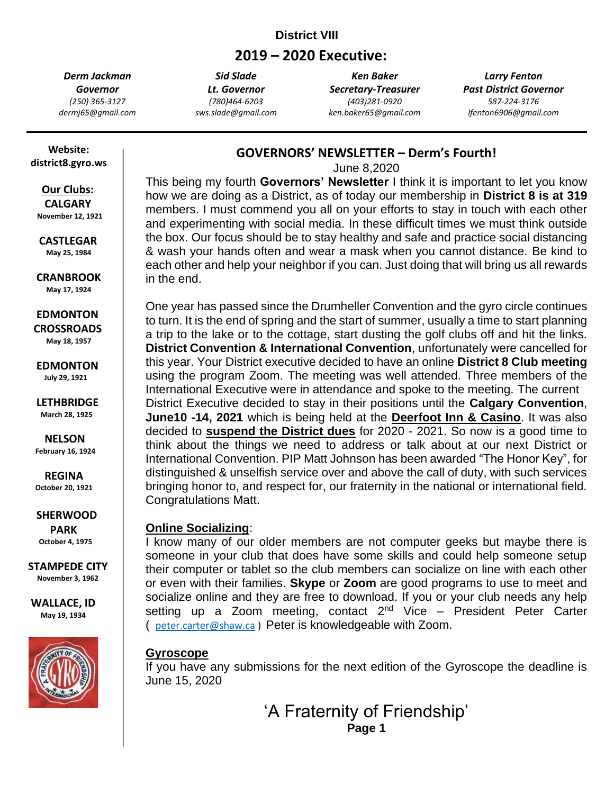### **District VIII**

# **2019 – 2020 Executive:**

*Derm Jackman Governor (250) 365-3127 dermj65@gmail.com*

*Sid Slade Lt. Governor (780)464-6203 sws.slade@gmail.com*

*Ken Baker Secretary-Treasurer (403)281-0920 ken.baker65@gmail.com*

*Larry Fenton Past District Governor 587-224-3176 lfenton6906@gmail.com*

 **Website: district8.gyro.ws**

#### **Our Clubs: CALGARY November 12, 1921**

 **CASTLEGAR**

 **May 25, 1984**

 **CRANBROOK May 17, 1924**

 **EDMONTON CROSSROADS May 18, 1957**

 **EDMONTON July 29, 1921**

 **LETHBRIDGE March 28, 1925**

 **NELSON February 16, 1924**

 **REGINA October 20, 1921**

 **SHERWOOD PARK October 4, 1975**

**STAMPEDE CITY November 3, 1962**

**WALLACE, ID May 19, 1934**



### **GOVERNORS' NEWSLETTER – Derm's Fourth!**

June 8,2020

This being my fourth **Governors' Newsletter** I think it is important to let you know how we are doing as a District, as of today our membership in **District 8 is at 319** members. I must commend you all on your efforts to stay in touch with each other and experimenting with social media. In these difficult times we must think outside the box. Our focus should be to stay healthy and safe and practice social distancing & wash your hands often and wear a mask when you cannot distance. Be kind to each other and help your neighbor if you can. Just doing that will bring us all rewards in the end.

One year has passed since the Drumheller Convention and the gyro circle continues to turn. It is the end of spring and the start of summer, usually a time to start planning a trip to the lake or to the cottage, start dusting the golf clubs off and hit the links. **District Convention & International Convention**, unfortunately were cancelled for this year. Your District executive decided to have an online **District 8 Club meeting** using the program Zoom. The meeting was well attended. Three members of the International Executive were in attendance and spoke to the meeting. The current District Executive decided to stay in their positions until the **Calgary Convention**, **June10 -14, 2021** which is being held at the **Deerfoot Inn & Casino**. It was also decided to **suspend the District dues** for 2020 - 2021. So now is a good time to think about the things we need to address or talk about at our next District or International Convention. PIP Matt Johnson has been awarded "The Honor Key", for distinguished & unselfish service over and above the call of duty, with such services bringing honor to, and respect for, our fraternity in the national or international field. Congratulations Matt.

#### **Online Socializing**:

I know many of our older members are not computer geeks but maybe there is someone in your club that does have some skills and could help someone setup their computer or tablet so the club members can socialize on line with each other or even with their families. **Skype** or **Zoom** are good programs to use to meet and socialize online and they are free to download. If you or your club needs any help setting up a Zoom meeting, contact  $2^{nd}$  Vice – President Peter Carter ( [peter.carter@shaw.ca](mailto:peter.carter@shaw.ca) ) Peter is knowledgeable with Zoom.

#### **Gyroscope**

If you have any submissions for the next edition of the Gyroscope the deadline is June 15, 2020

> 'A Fraternity of Friendship' **Page 1**